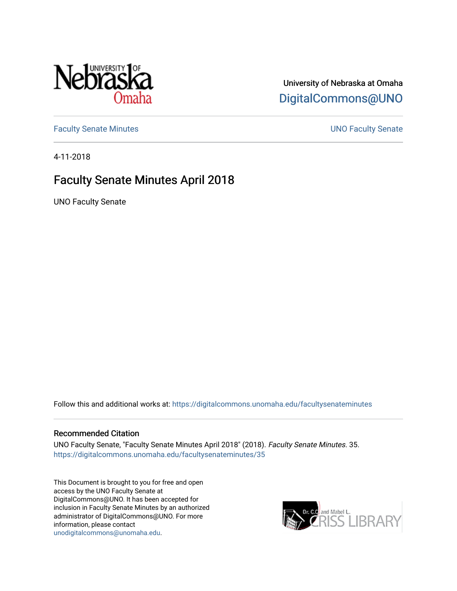

# University of Nebraska at Omaha [DigitalCommons@UNO](https://digitalcommons.unomaha.edu/)

[Faculty Senate Minutes](https://digitalcommons.unomaha.edu/facultysenateminutes) **Example 2018** UNO Faculty Senate

4-11-2018

# Faculty Senate Minutes April 2018

UNO Faculty Senate

Follow this and additional works at: [https://digitalcommons.unomaha.edu/facultysenateminutes](https://digitalcommons.unomaha.edu/facultysenateminutes?utm_source=digitalcommons.unomaha.edu%2Ffacultysenateminutes%2F35&utm_medium=PDF&utm_campaign=PDFCoverPages) 

#### Recommended Citation

UNO Faculty Senate, "Faculty Senate Minutes April 2018" (2018). Faculty Senate Minutes. 35. [https://digitalcommons.unomaha.edu/facultysenateminutes/35](https://digitalcommons.unomaha.edu/facultysenateminutes/35?utm_source=digitalcommons.unomaha.edu%2Ffacultysenateminutes%2F35&utm_medium=PDF&utm_campaign=PDFCoverPages) 

This Document is brought to you for free and open access by the UNO Faculty Senate at DigitalCommons@UNO. It has been accepted for inclusion in Faculty Senate Minutes by an authorized administrator of DigitalCommons@UNO. For more information, please contact [unodigitalcommons@unomaha.edu.](mailto:unodigitalcommons@unomaha.edu)

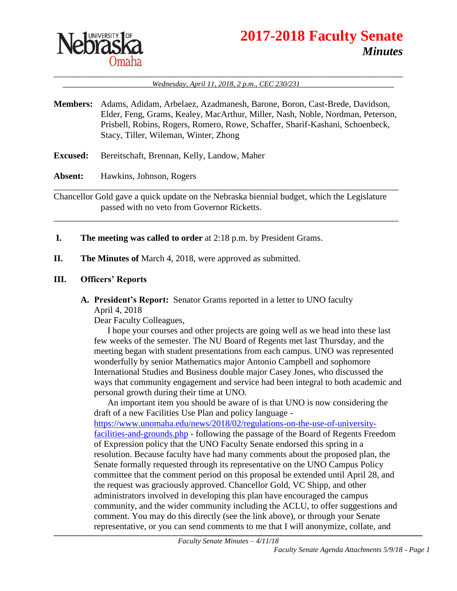

# **2017-2018 Faculty Senate** *Minutes*

#### \_\_\_\_\_\_\_\_\_\_\_\_\_\_\_\_\_\_\_\_\_\_\_\_\_\_\_\_\_\_\_\_\_\_\_\_\_\_\_\_\_\_\_\_\_\_\_\_\_\_\_\_\_\_\_\_\_\_\_\_\_\_\_\_\_\_\_\_\_\_\_\_\_\_\_\_\_\_ \_\_\_\_\_\_\_\_\_\_\_\_\_\_\_\_\_\_\_\_*Wednesday, April 11, 2018, 2 p.m., CEC 230/231*\_\_\_\_\_\_\_\_\_\_\_\_\_\_\_\_\_\_\_\_\_

- **Members:** Adams, Adidam, Arbelaez, Azadmanesh, Barone, Boron, Cast-Brede, Davidson, Elder, Feng, Grams, Kealey, MacArthur, Miller, Nash, Noble, Nordman, Peterson, Prisbell, Robins, Rogers, Romero, Rowe, Schaffer, Sharif-Kashani, Schoenbeck, Stacy, Tiller, Wileman, Winter, Zhong
- **Excused:** Bereitschaft, Brennan, Kelly, Landow, Maher

**Absent:** Hawkins, Johnson, Rogers

Chancellor Gold gave a quick update on the Nebraska biennial budget, which the Legislature passed with no veto from Governor Ricketts.

\_\_\_\_\_\_\_\_\_\_\_\_\_\_\_\_\_\_\_\_\_\_\_\_\_\_\_\_\_\_\_\_\_\_\_\_\_\_\_\_\_\_\_\_\_\_\_\_\_\_\_\_\_\_\_\_\_\_\_\_\_\_\_\_\_\_\_\_\_\_\_\_\_\_\_\_\_

\_\_\_\_\_\_\_\_\_\_\_\_\_\_\_\_\_\_\_\_\_\_\_\_\_\_\_\_\_\_\_\_\_\_\_\_\_\_\_\_\_\_\_\_\_\_\_\_\_\_\_\_\_\_\_\_\_\_\_\_\_\_\_\_\_\_\_\_\_\_\_\_\_\_\_\_\_

- **I. The meeting was called to order** at 2:18 p.m. by President Grams.
- **II. The Minutes of** March 4, 2018, were approved as submitted.

#### **III. Officers' Reports**

**A. President's Report:** Senator Grams reported in a letter to UNO faculty April 4, 2018

Dear Faculty Colleagues,

I hope your courses and other projects are going well as we head into these last few weeks of the semester. The NU Board of Regents met last Thursday, and the meeting began with student presentations from each campus. UNO was represented wonderfully by senior Mathematics major Antonio Campbell and sophomore International Studies and Business double major Casey Jones, who discussed the ways that community engagement and service had been integral to both academic and personal growth during their time at UNO.

An important item you should be aware of is that UNO is now considering the draft of a new Facilities Use Plan and policy language [https://www.unomaha.edu/news/2018/02/regulations-on-the-use-of-university](https://www.unomaha.edu/news/2018/02/regulations-on-the-use-of-university-facilities-and-grounds.php)[facilities-and-grounds.php](https://www.unomaha.edu/news/2018/02/regulations-on-the-use-of-university-facilities-and-grounds.php) - following the passage of the Board of Regents Freedom of Expression policy that the UNO Faculty Senate endorsed this spring in a resolution. Because faculty have had many comments about the proposed plan, the Senate formally requested through its representative on the UNO Campus Policy committee that the comment period on this proposal be extended until April 28, and the request was graciously approved. Chancellor Gold, VC Shipp, and other administrators involved in developing this plan have encouraged the campus community, and the wider community including the ACLU, to offer suggestions and comment. You may do this directly (see the link above), or through your Senate representative, or you can send comments to me that I will anonymize, collate, and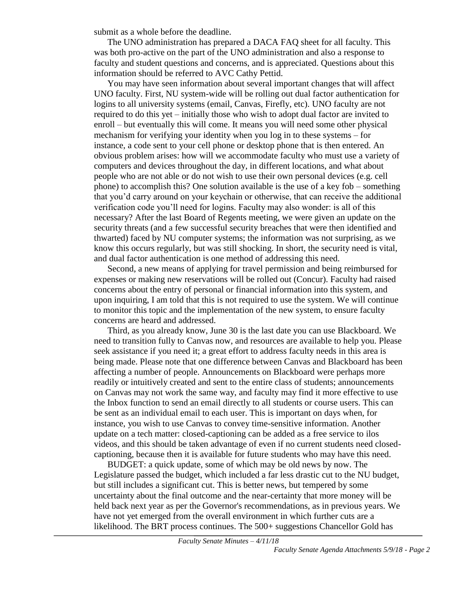submit as a whole before the deadline.

The UNO administration has prepared a DACA FAQ sheet for all faculty. This was both pro-active on the part of the UNO administration and also a response to faculty and student questions and concerns, and is appreciated. Questions about this information should be referred to AVC Cathy Pettid.

You may have seen information about several important changes that will affect UNO faculty. First, NU system-wide will be rolling out dual factor authentication for logins to all university systems (email, Canvas, Firefly, etc). UNO faculty are not required to do this yet – initially those who wish to adopt dual factor are invited to enroll – but eventually this will come. It means you will need some other physical mechanism for verifying your identity when you log in to these systems – for instance, a code sent to your cell phone or desktop phone that is then entered. An obvious problem arises: how will we accommodate faculty who must use a variety of computers and devices throughout the day, in different locations, and what about people who are not able or do not wish to use their own personal devices (e.g. cell phone) to accomplish this? One solution available is the use of a key fob – something that you'd carry around on your keychain or otherwise, that can receive the additional verification code you'll need for logins. Faculty may also wonder: is all of this necessary? After the last Board of Regents meeting, we were given an update on the security threats (and a few successful security breaches that were then identified and thwarted) faced by NU computer systems; the information was not surprising, as we know this occurs regularly, but was still shocking. In short, the security need is vital, and dual factor authentication is one method of addressing this need.

Second, a new means of applying for travel permission and being reimbursed for expenses or making new reservations will be rolled out (Concur). Faculty had raised concerns about the entry of personal or financial information into this system, and upon inquiring, I am told that this is not required to use the system. We will continue to monitor this topic and the implementation of the new system, to ensure faculty concerns are heard and addressed.

Third, as you already know, June 30 is the last date you can use Blackboard. We need to transition fully to Canvas now, and resources are available to help you. Please seek assistance if you need it; a great effort to address faculty needs in this area is being made. Please note that one difference between Canvas and Blackboard has been affecting a number of people. Announcements on Blackboard were perhaps more readily or intuitively created and sent to the entire class of students; announcements on Canvas may not work the same way, and faculty may find it more effective to use the Inbox function to send an email directly to all students or course users. This can be sent as an individual email to each user. This is important on days when, for instance, you wish to use Canvas to convey time-sensitive information. Another update on a tech matter: closed-captioning can be added as a free service to ilos videos, and this should be taken advantage of even if no current students need closedcaptioning, because then it is available for future students who may have this need.

BUDGET: a quick update, some of which may be old news by now. The Legislature passed the budget, which included a far less drastic cut to the NU budget, but still includes a significant cut. This is better news, but tempered by some uncertainty about the final outcome and the near-certainty that more money will be held back next year as per the Governor's recommendations, as in previous years. We have not yet emerged from the overall environment in which further cuts are a likelihood. The BRT process continues. The 500+ suggestions Chancellor Gold has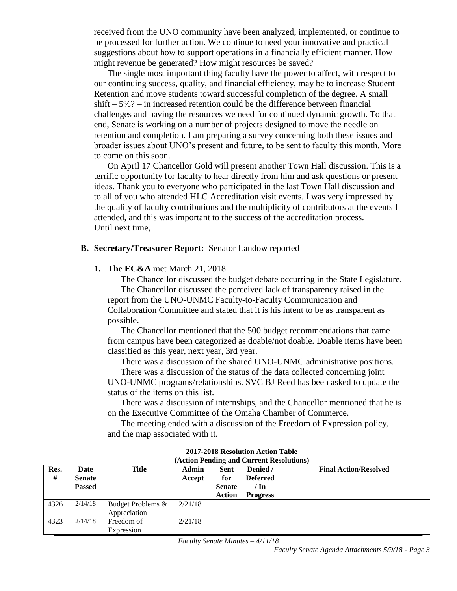received from the UNO community have been analyzed, implemented, or continue to be processed for further action. We continue to need your innovative and practical suggestions about how to support operations in a financially efficient manner. How might revenue be generated? How might resources be saved?

The single most important thing faculty have the power to affect, with respect to our continuing success, quality, and financial efficiency, may be to increase Student Retention and move students toward successful completion of the degree. A small shift – 5%? – in increased retention could be the difference between financial challenges and having the resources we need for continued dynamic growth. To that end, Senate is working on a number of projects designed to move the needle on retention and completion. I am preparing a survey concerning both these issues and broader issues about UNO's present and future, to be sent to faculty this month. More to come on this soon.

On April 17 Chancellor Gold will present another Town Hall discussion. This is a terrific opportunity for faculty to hear directly from him and ask questions or present ideas. Thank you to everyone who participated in the last Town Hall discussion and to all of you who attended HLC Accreditation visit events. I was very impressed by the quality of faculty contributions and the multiplicity of contributors at the events I attended, and this was important to the success of the accreditation process. Until next time,

#### **B. Secretary/Treasurer Report:** Senator Landow reported

#### **1. The EC&A** met March 21, 2018

The Chancellor discussed the budget debate occurring in the State Legislature. The Chancellor discussed the perceived lack of transparency raised in the report from the UNO-UNMC Faculty-to-Faculty Communication and Collaboration Committee and stated that it is his intent to be as transparent as possible.

The Chancellor mentioned that the 500 budget recommendations that came from campus have been categorized as doable/not doable. Doable items have been classified as this year, next year, 3rd year.

There was a discussion of the shared UNO-UNMC administrative positions.

There was a discussion of the status of the data collected concerning joint UNO-UNMC programs/relationships. SVC BJ Reed has been asked to update the status of the items on this list.

There was a discussion of internships, and the Chancellor mentioned that he is on the Executive Committee of the Omaha Chamber of Commerce.

The meeting ended with a discussion of the Freedom of Expression policy, and the map associated with it.

| urchon I chume unu cuirche ressonanche |               |                   |              |               |                 |                              |  |  |
|----------------------------------------|---------------|-------------------|--------------|---------------|-----------------|------------------------------|--|--|
| Res.                                   | Date          | <b>Title</b>      | <b>Admin</b> | <b>Sent</b>   | Denied /        | <b>Final Action/Resolved</b> |  |  |
| #                                      | <b>Senate</b> |                   | Accept       | for           | <b>Deferred</b> |                              |  |  |
|                                        | <b>Passed</b> |                   |              | <b>Senate</b> | / In            |                              |  |  |
|                                        |               |                   |              | <b>Action</b> | <b>Progress</b> |                              |  |  |
| 4326                                   | 2/14/18       | Budget Problems & | 2/21/18      |               |                 |                              |  |  |
|                                        |               | Appreciation      |              |               |                 |                              |  |  |
| 4323                                   | 2/14/18       | Freedom of        | 2/21/18      |               |                 |                              |  |  |
|                                        |               | Expression        |              |               |                 |                              |  |  |

**2017-2018 Resolution Action Table (Action Pending and Current Resolutions)**

*Faculty Senate Minutes – 4/11/18*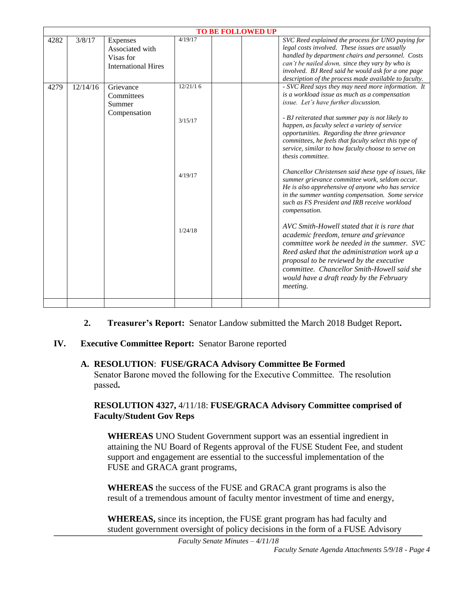| <b>TO BE FOLLOWED UP</b> |          |                            |          |  |                                                        |  |  |  |
|--------------------------|----------|----------------------------|----------|--|--------------------------------------------------------|--|--|--|
| 4282                     | 3/8/17   | Expenses                   | 4/19/17  |  | SVC Reed explained the process for UNO paying for      |  |  |  |
|                          |          | Associated with            |          |  | legal costs involved. These issues are usually         |  |  |  |
|                          |          | Visas for                  |          |  | handled by department chairs and personnel. Costs      |  |  |  |
|                          |          | <b>International Hires</b> |          |  | can't be nailed down, since they vary by who is        |  |  |  |
|                          |          |                            |          |  | involved. BJ Reed said he would ask for a one page     |  |  |  |
|                          |          |                            |          |  | description of the process made available to faculty.  |  |  |  |
| 4279                     | 12/14/16 | Grievance                  | 12/21/16 |  | - SVC Reed says they may need more information. It     |  |  |  |
|                          |          | Committees                 |          |  | is a workload issue as much as a compensation          |  |  |  |
|                          |          | Summer                     |          |  | issue. Let's have further discussion.                  |  |  |  |
|                          |          | Compensation               |          |  |                                                        |  |  |  |
|                          |          |                            | 3/15/17  |  | - BJ reiterated that summer pay is not likely to       |  |  |  |
|                          |          |                            |          |  | happen, as faculty select a variety of service         |  |  |  |
|                          |          |                            |          |  | opportunities. Regarding the three grievance           |  |  |  |
|                          |          |                            |          |  | committees, he feels that faculty select this type of  |  |  |  |
|                          |          |                            |          |  | service, similar to how faculty choose to serve on     |  |  |  |
|                          |          |                            |          |  | thesis committee.                                      |  |  |  |
|                          |          |                            | 4/19/17  |  | Chancellor Christensen said these type of issues, like |  |  |  |
|                          |          |                            |          |  | summer grievance committee work, seldom occur.         |  |  |  |
|                          |          |                            |          |  | He is also apprehensive of anyone who has service      |  |  |  |
|                          |          |                            |          |  | in the summer wanting compensation. Some service       |  |  |  |
|                          |          |                            |          |  | such as FS President and IRB receive workload          |  |  |  |
|                          |          |                            |          |  | compensation.                                          |  |  |  |
|                          |          |                            |          |  |                                                        |  |  |  |
|                          |          |                            | 1/24/18  |  | AVC Smith-Howell stated that it is rare that           |  |  |  |
|                          |          |                            |          |  | academic freedom, tenure and grievance                 |  |  |  |
|                          |          |                            |          |  | committee work be needed in the summer. SVC            |  |  |  |
|                          |          |                            |          |  | Reed asked that the administration work up a           |  |  |  |
|                          |          |                            |          |  | proposal to be reviewed by the executive               |  |  |  |
|                          |          |                            |          |  | committee. Chancellor Smith-Howell said she            |  |  |  |
|                          |          |                            |          |  | would have a draft ready by the February               |  |  |  |
|                          |          |                            |          |  |                                                        |  |  |  |
|                          |          |                            |          |  | <i>meeting.</i>                                        |  |  |  |
|                          |          |                            |          |  |                                                        |  |  |  |

- **2. Treasurer's Report:** Senator Landow submitted the March 2018 Budget Report**.**
- **IV. Executive Committee Report:** Senator Barone reported

#### **A. RESOLUTION**: **FUSE/GRACA Advisory Committee Be Formed**

Senator Barone moved the following for the Executive Committee. The resolution passed**.**

#### **RESOLUTION 4327,** 4/11/18: **FUSE/GRACA Advisory Committee comprised of Faculty/Student Gov Reps**

**WHEREAS** UNO Student Government support was an essential ingredient in attaining the NU Board of Regents approval of the FUSE Student Fee, and student support and engagement are essential to the successful implementation of the FUSE and GRACA grant programs,

**WHEREAS** the success of the FUSE and GRACA grant programs is also the result of a tremendous amount of faculty mentor investment of time and energy,

**WHEREAS,** since its inception, the FUSE grant program has had faculty and student government oversight of policy decisions in the form of a FUSE Advisory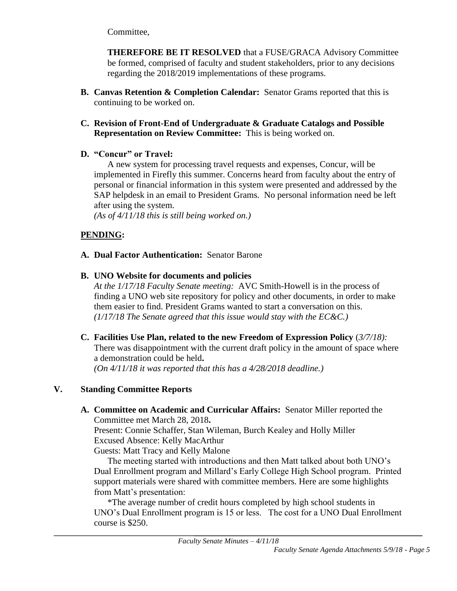Committee,

**THEREFORE BE IT RESOLVED** that a FUSE/GRACA Advisory Committee be formed, comprised of faculty and student stakeholders, prior to any decisions regarding the 2018/2019 implementations of these programs.

- **B. Canvas Retention & Completion Calendar:** Senator Grams reported that this is continuing to be worked on.
- **C. Revision of Front-End of Undergraduate & Graduate Catalogs and Possible Representation on Review Committee:** This is being worked on.

## **D. "Concur" or Travel:**

A new system for processing travel requests and expenses, Concur, will be implemented in Firefly this summer. Concerns heard from faculty about the entry of personal or financial information in this system were presented and addressed by the SAP helpdesk in an email to President Grams. No personal information need be left after using the system.

*(As of 4/11/18 this is still being worked on.)*

## **PENDING:**

#### **A. Dual Factor Authentication:** Senator Barone

## **B. UNO Website for documents and policies**

*At the 1/17/18 Faculty Senate meeting:* AVC Smith-Howell is in the process of finding a UNO web site repository for policy and other documents, in order to make them easier to find. President Grams wanted to start a conversation on this. *(1/17/18 The Senate agreed that this issue would stay with the EC&C.)*

**C. Facilities Use Plan, related to the new Freedom of Expression Policy** (*3/7/18):*

There was disappointment with the current draft policy in the amount of space where a demonstration could be held**.** 

*(On 4/11/18 it was reported that this has a 4/28/2018 deadline.)*

## **V. Standing Committee Reports**

**A. Committee on Academic and Curricular Affairs:** Senator Miller reported the Committee met March 28, 2018**.**

Present: Connie Schaffer, Stan Wileman, Burch Kealey and Holly Miller Excused Absence: Kelly MacArthur

Guests: Matt Tracy and Kelly Malone

The meeting started with introductions and then Matt talked about both UNO's Dual Enrollment program and Millard's Early College High School program. Printed support materials were shared with committee members. Here are some highlights from Matt's presentation:

\*The average number of credit hours completed by high school students in UNO's Dual Enrollment program is 15 or less. The cost for a UNO Dual Enrollment course is \$250.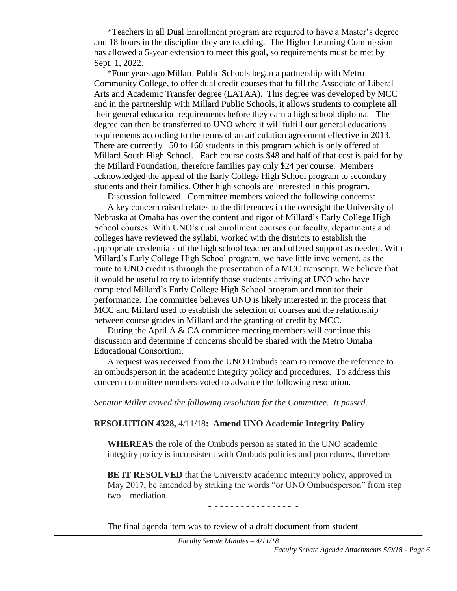\*Teachers in all Dual Enrollment program are required to have a Master's degree and 18 hours in the discipline they are teaching. The Higher Learning Commission has allowed a 5-year extension to meet this goal, so requirements must be met by Sept. 1, 2022.

\*Four years ago Millard Public Schools began a partnership with Metro Community College, to offer dual credit courses that fulfill the Associate of Liberal Arts and Academic Transfer degree (LATAA). This degree was developed by MCC and in the partnership with Millard Public Schools, it allows students to complete all their general education requirements before they earn a high school diploma. The degree can then be transferred to UNO where it will fulfill our general educations requirements according to the terms of an articulation agreement effective in 2013. There are currently 150 to 160 students in this program which is only offered at Millard South High School. Each course costs \$48 and half of that cost is paid for by the Millard Foundation, therefore families pay only \$24 per course. Members acknowledged the appeal of the Early College High School program to secondary students and their families. Other high schools are interested in this program.

Discussion followed. Committee members voiced the following concerns:

A key concern raised relates to the differences in the oversight the University of Nebraska at Omaha has over the content and rigor of Millard's Early College High School courses. With UNO's dual enrollment courses our faculty, departments and colleges have reviewed the syllabi, worked with the districts to establish the appropriate credentials of the high school teacher and offered support as needed. With Millard's Early College High School program, we have little involvement, as the route to UNO credit is through the presentation of a MCC transcript. We believe that it would be useful to try to identify those students arriving at UNO who have completed Millard's Early College High School program and monitor their performance. The committee believes UNO is likely interested in the process that MCC and Millard used to establish the selection of courses and the relationship between course grades in Millard and the granting of credit by MCC.

During the April A  $& CA$  committee meeting members will continue this discussion and determine if concerns should be shared with the Metro Omaha Educational Consortium.

A request was received from the UNO Ombuds team to remove the reference to an ombudsperson in the academic integrity policy and procedures. To address this concern committee members voted to advance the following resolution.

*Senator Miller moved the following resolution for the Committee. It passed.*

#### **RESOLUTION 4328,** 4/11/18**: Amend UNO Academic Integrity Policy**

**WHEREAS** the role of the Ombuds person as stated in the UNO academic integrity policy is inconsistent with Ombuds policies and procedures, therefore

**BE IT RESOLVED** that the University academic integrity policy, approved in May 2017, be amended by striking the words "or UNO Ombudsperson" from step two – mediation.

- **- - - - - - - - - - - - - - - -**

The final agenda item was to review of a draft document from student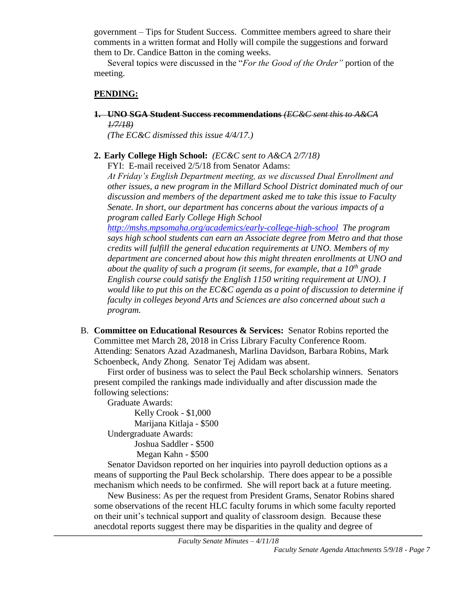government – Tips for Student Success. Committee members agreed to share their comments in a written format and Holly will compile the suggestions and forward them to Dr. Candice Batton in the coming weeks.

Several topics were discussed in the "*For the Good of the Order"* portion of the meeting.

## **PENDING:**

**1. UNO SGA Student Success recommendations** *(EC&C sent this to A&CA 1/7/18)*

*(The EC&C dismissed this issue 4/4/17.)*

## **2. Early College High School:** *(EC&C sent to A&CA 2/7/18)*

FYI: E-mail received 2/5/18 from Senator Adams:

*At Friday's English Department meeting, as we discussed Dual Enrollment and other issues, a new program in the Millard School District dominated much of our discussion and members of the department asked me to take this issue to Faculty Senate. In short, our department has concerns about the various impacts of a program called Early College High School* 

*<http://mshs.mpsomaha.org/academics/early-college-high-school> The program says high school students can earn an Associate degree from Metro and that those credits will fulfill the general education requirements at UNO. Members of my department are concerned about how this might threaten enrollments at UNO and about the quality of such a program (it seems, for example, that a 10th grade English course could satisfy the English 1150 writing requirement at UNO). I would like to put this on the EC&C agenda as a point of discussion to determine if faculty in colleges beyond Arts and Sciences are also concerned about such a program.*

B. **Committee on Educational Resources & Services:** Senator Robins reported the Committee met March 28, 2018 in Criss Library Faculty Conference Room. Attending: Senators Azad Azadmanesh, Marlina Davidson, Barbara Robins, Mark Schoenbeck, Andy Zhong. Senator Tej Adidam was absent.

First order of business was to select the Paul Beck scholarship winners. Senators present compiled the rankings made individually and after discussion made the following selections:

Graduate Awards:

Kelly Crook - \$1,000 Marijana Kitlaja - \$500 Undergraduate Awards:

Joshua Saddler - \$500 Megan Kahn - \$500

Senator Davidson reported on her inquiries into payroll deduction options as a means of supporting the Paul Beck scholarship. There does appear to be a possible mechanism which needs to be confirmed. She will report back at a future meeting.

New Business: As per the request from President Grams, Senator Robins shared some observations of the recent HLC faculty forums in which some faculty reported on their unit's technical support and quality of classroom design. Because these anecdotal reports suggest there may be disparities in the quality and degree of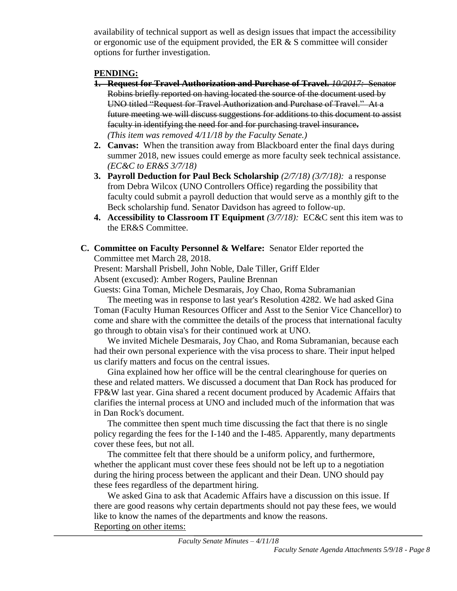availability of technical support as well as design issues that impact the accessibility or ergonomic use of the equipment provided, the ER  $& S$  committee will consider options for further investigation.

#### **PENDING:**

- **1. Request for Travel Authorization and Purchase of Travel.** *10/2017:* Senator Robins briefly reported on having located the source of the document used by UNO titled "Request for Travel Authorization and Purchase of Travel." At a future meeting we will discuss suggestions for additions to this document to assist faculty in identifying the need for and for purchasing travel insurance**.**  *(This item was removed 4/11/18 by the Faculty Senate.)*
- **2. Canvas:** When the transition away from Blackboard enter the final days during summer 2018, new issues could emerge as more faculty seek technical assistance. *(EC&C to ER&S 3/7/18)*
- **3. Payroll Deduction for Paul Beck Scholarship** *(2/7/18) (3/7/18):* a response from Debra Wilcox (UNO Controllers Office) regarding the possibility that faculty could submit a payroll deduction that would serve as a monthly gift to the Beck scholarship fund. Senator Davidson has agreed to follow-up.
- **4. Accessibility to Classroom IT Equipment** *(3/7/18):* EC&C sent this item was to the ER&S Committee.
- **C. Committee on Faculty Personnel & Welfare:** Senator Elder reported the Committee met March 28, 2018.

Present: Marshall Prisbell, John Noble, Dale Tiller, Griff Elder Absent (excused): Amber Rogers, Pauline Brennan

Guests: Gina Toman, Michele Desmarais, Joy Chao, Roma Subramanian

The meeting was in response to last year's Resolution 4282. We had asked Gina Toman (Faculty Human Resources Officer and Asst to the Senior Vice Chancellor) to come and share with the committee the details of the process that international faculty go through to obtain visa's for their continued work at UNO.

We invited Michele Desmarais, Joy Chao, and Roma Subramanian, because each had their own personal experience with the visa process to share. Their input helped us clarify matters and focus on the central issues.

Gina explained how her office will be the central clearinghouse for queries on these and related matters. We discussed a document that Dan Rock has produced for FP&W last year. Gina shared a recent document produced by Academic Affairs that clarifies the internal process at UNO and included much of the information that was in Dan Rock's document.

The committee then spent much time discussing the fact that there is no single policy regarding the fees for the I-140 and the I-485. Apparently, many departments cover these fees, but not all.

The committee felt that there should be a uniform policy, and furthermore, whether the applicant must cover these fees should not be left up to a negotiation during the hiring process between the applicant and their Dean. UNO should pay these fees regardless of the department hiring.

We asked Gina to ask that Academic Affairs have a discussion on this issue. If there are good reasons why certain departments should not pay these fees, we would like to know the names of the departments and know the reasons. Reporting on other items: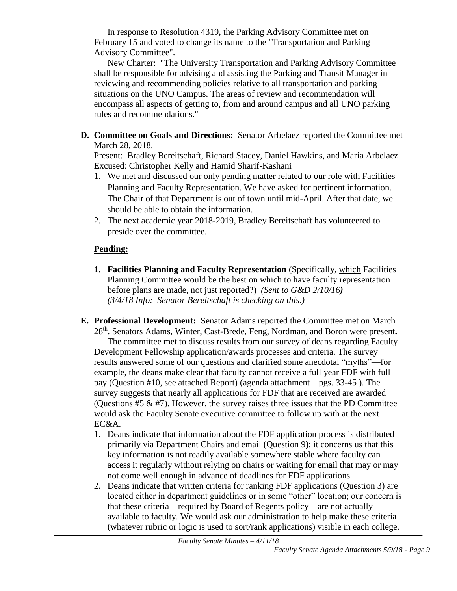In response to Resolution 4319, the Parking Advisory Committee met on February 15 and voted to change its name to the "Transportation and Parking Advisory Committee".

New Charter: "The University Transportation and Parking Advisory Committee shall be responsible for advising and assisting the Parking and Transit Manager in reviewing and recommending policies relative to all transportation and parking situations on the UNO Campus. The areas of review and recommendation will encompass all aspects of getting to, from and around campus and all UNO parking rules and recommendations."

**D. Committee on Goals and Directions:** Senator Arbelaez reported the Committee met March 28, 2018.

Present: Bradley Bereitschaft, Richard Stacey, Daniel Hawkins, and Maria Arbelaez Excused: Christopher Kelly and Hamid Sharif-Kashani

- 1. We met and discussed our only pending matter related to our role with Facilities Planning and Faculty Representation. We have asked for pertinent information. The Chair of that Department is out of town until mid-April. After that date, we should be able to obtain the information.
- 2. The next academic year 2018-2019, Bradley Bereitschaft has volunteered to preside over the committee.

## **Pending:**

- **1. Facilities Planning and Faculty Representation** (Specifically, which Facilities Planning Committee would be the best on which to have faculty representation before plans are made, not just reported?) *(Sent to G&D 2/10/16) (3/4/18 Info: Senator Bereitschaft is checking on this.)*
- **E. Professional Development:** Senator Adams reported the Committee met on March 28th. Senators Adams, Winter, Cast-Brede, Feng, Nordman, and Boron were present**.** The committee met to discuss results from our survey of deans regarding Faculty Development Fellowship application/awards processes and criteria. The survey results answered some of our questions and clarified some anecdotal "myths"—for example, the deans make clear that faculty cannot receive a full year FDF with full pay (Question #10, see attached Report) (agenda attachment – pgs. 33-45 ). The survey suggests that nearly all applications for FDF that are received are awarded (Ouestions  $#5 \& #7$ ). However, the survey raises three issues that the PD Committee would ask the Faculty Senate executive committee to follow up with at the next EC&A.
	- 1. Deans indicate that information about the FDF application process is distributed primarily via Department Chairs and email (Question 9); it concerns us that this key information is not readily available somewhere stable where faculty can access it regularly without relying on chairs or waiting for email that may or may not come well enough in advance of deadlines for FDF applications
	- 2. Deans indicate that written criteria for ranking FDF applications (Question 3) are located either in department guidelines or in some "other" location; our concern is that these criteria—required by Board of Regents policy—are not actually available to faculty. We would ask our administration to help make these criteria (whatever rubric or logic is used to sort/rank applications) visible in each college.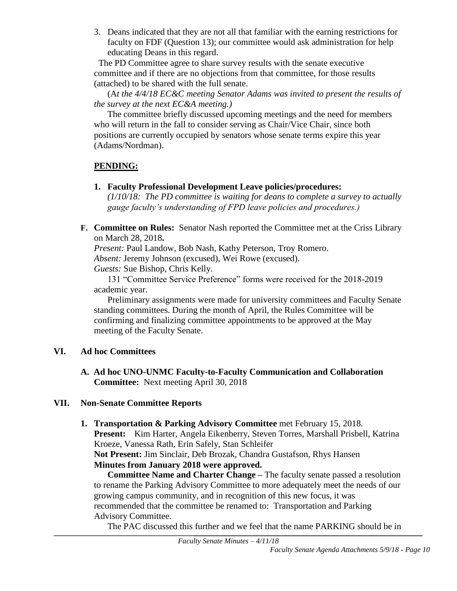3. Deans indicated that they are not all that familiar with the earning restrictions for faculty on FDF (Question 13); our committee would ask administration for help educating Deans in this regard.

 The PD Committee agree to share survey results with the senate executive committee and if there are no objections from that committee, for those results (attached) to be shared with the full senate.

(A*t the 4/4/18 EC&C meeting Senator Adams was invited to present the results of the survey at the next EC&A meeting.)* 

The committee briefly discussed upcoming meetings and the need for members who will return in the fall to consider serving as Chair/Vice Chair, since both positions are currently occupied by senators whose senate terms expire this year (Adams/Nordman).

## **PENDING:**

- **1. Faculty Professional Development Leave policies/procedures:**  *(1/10/18: The PD committee is waiting for deans to complete a survey to actually gauge faculty's understanding of FPD leave policies and procedures.)*
- **F. Committee on Rules:** Senator Nash reported the Committee met at the Criss Library on March 28, 2018**.**

*Present:* Paul Landow, Bob Nash, Kathy Peterson, Troy Romero. *Absent:* Jeremy Johnson (excused), Wei Rowe (excused). *Guests:* Sue Bishop, Chris Kelly.

131 "Committee Service Preference" forms were received for the 2018-2019 academic year.

Preliminary assignments were made for university committees and Faculty Senate standing committees. During the month of April, the Rules Committee will be confirming and finalizing committee appointments to be approved at the May meeting of the Faculty Senate.

## **VI. Ad hoc Committees**

**A. Ad hoc UNO-UNMC Faculty-to-Faculty Communication and Collaboration Committee:** Next meeting April 30, 2018

## **VII. Non-Senate Committee Reports**

**1. Transportation & Parking Advisory Committee** met February 15, 2018. **Present:** Kim Harter, Angela Eikenberry, Steven Torres, Marshall Prisbell, Katrina Kroeze, Vanessa Rath, Erin Safely, Stan Schleifer **Not Present:** Jim Sinclair, Deb Brozak, Chandra Gustafson, Rhys Hansen **Minutes from January 2018 were approved.**

**Committee Name and Charter Change –** The faculty senate passed a resolution to rename the Parking Advisory Committee to more adequately meet the needs of our growing campus community, and in recognition of this new focus, it was recommended that the committee be renamed to: Transportation and Parking Advisory Committee.

The PAC discussed this further and we feel that the name PARKING should be in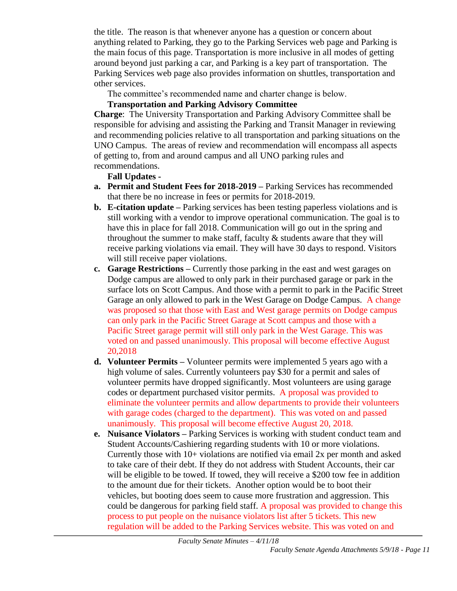the title. The reason is that whenever anyone has a question or concern about anything related to Parking, they go to the Parking Services web page and Parking is the main focus of this page. Transportation is more inclusive in all modes of getting around beyond just parking a car, and Parking is a key part of transportation. The Parking Services web page also provides information on shuttles, transportation and other services.

The committee's recommended name and charter change is below.

# **Transportation and Parking Advisory Committee**

**Charge**: The University Transportation and Parking Advisory Committee shall be responsible for advising and assisting the Parking and Transit Manager in reviewing and recommending policies relative to all transportation and parking situations on the UNO Campus. The areas of review and recommendation will encompass all aspects of getting to, from and around campus and all UNO parking rules and recommendations.

## **Fall Updates -**

- **a. Permit and Student Fees for 2018-2019 –** Parking Services has recommended that there be no increase in fees or permits for 2018-2019.
- **b. E-citation update –** Parking services has been testing paperless violations and is still working with a vendor to improve operational communication. The goal is to have this in place for fall 2018. Communication will go out in the spring and throughout the summer to make staff, faculty  $&$  students aware that they will receive parking violations via email. They will have 30 days to respond. Visitors will still receive paper violations.
- **c. Garage Restrictions –** Currently those parking in the east and west garages on Dodge campus are allowed to only park in their purchased garage or park in the surface lots on Scott Campus. And those with a permit to park in the Pacific Street Garage an only allowed to park in the West Garage on Dodge Campus. A change was proposed so that those with East and West garage permits on Dodge campus can only park in the Pacific Street Garage at Scott campus and those with a Pacific Street garage permit will still only park in the West Garage. This was voted on and passed unanimously. This proposal will become effective August 20,2018
- **d. Volunteer Permits –** Volunteer permits were implemented 5 years ago with a high volume of sales. Currently volunteers pay \$30 for a permit and sales of volunteer permits have dropped significantly. Most volunteers are using garage codes or department purchased visitor permits. A proposal was provided to eliminate the volunteer permits and allow departments to provide their volunteers with garage codes (charged to the department). This was voted on and passed unanimously. This proposal will become effective August 20, 2018.
- **e. Nuisance Violators –** Parking Services is working with student conduct team and Student Accounts/Cashiering regarding students with 10 or more violations. Currently those with 10+ violations are notified via email 2x per month and asked to take care of their debt. If they do not address with Student Accounts, their car will be eligible to be towed. If towed, they will receive a \$200 tow fee in addition to the amount due for their tickets. Another option would be to boot their vehicles, but booting does seem to cause more frustration and aggression. This could be dangerous for parking field staff. A proposal was provided to change this process to put people on the nuisance violators list after 5 tickets. This new regulation will be added to the Parking Services website. This was voted on and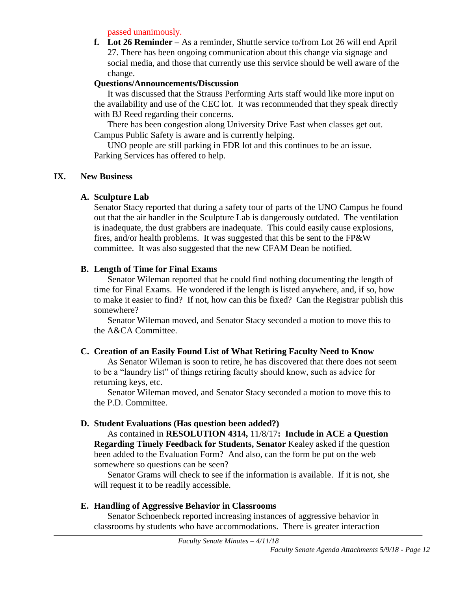passed unanimously.

**f. Lot 26 Reminder –** As a reminder, Shuttle service to/from Lot 26 will end April 27. There has been ongoing communication about this change via signage and social media, and those that currently use this service should be well aware of the change.

#### **Questions/Announcements/Discussion**

It was discussed that the Strauss Performing Arts staff would like more input on the availability and use of the CEC lot. It was recommended that they speak directly with BJ Reed regarding their concerns.

There has been congestion along University Drive East when classes get out. Campus Public Safety is aware and is currently helping.

UNO people are still parking in FDR lot and this continues to be an issue. Parking Services has offered to help.

#### **IX. New Business**

#### **A. Sculpture Lab**

Senator Stacy reported that during a safety tour of parts of the UNO Campus he found out that the air handler in the Sculpture Lab is dangerously outdated. The ventilation is inadequate, the dust grabbers are inadequate. This could easily cause explosions, fires, and/or health problems. It was suggested that this be sent to the FP&W committee. It was also suggested that the new CFAM Dean be notified.

#### **B. Length of Time for Final Exams**

Senator Wileman reported that he could find nothing documenting the length of time for Final Exams. He wondered if the length is listed anywhere, and, if so, how to make it easier to find? If not, how can this be fixed? Can the Registrar publish this somewhere?

Senator Wileman moved, and Senator Stacy seconded a motion to move this to the A&CA Committee.

## **C. Creation of an Easily Found List of What Retiring Faculty Need to Know**

As Senator Wileman is soon to retire, he has discovered that there does not seem to be a "laundry list" of things retiring faculty should know, such as advice for returning keys, etc.

Senator Wileman moved, and Senator Stacy seconded a motion to move this to the P.D. Committee.

## **D. Student Evaluations (Has question been added?)**

As contained in **RESOLUTION 4314,** 11/8/17**: Include in ACE a Question Regarding Timely Feedback for Students, Senator** Kealey asked if the question been added to the Evaluation Form? And also, can the form be put on the web somewhere so questions can be seen?

Senator Grams will check to see if the information is available. If it is not, she will request it to be readily accessible.

#### **E. Handling of Aggressive Behavior in Classrooms**

Senator Schoenbeck reported increasing instances of aggressive behavior in classrooms by students who have accommodations. There is greater interaction